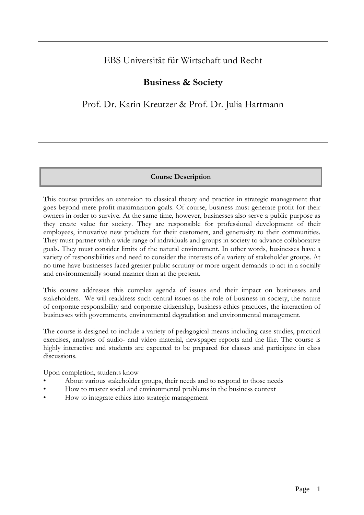# EBS Universität für Wirtschaft und Recht

# **Business & Society**

Prof. Dr. Karin Kreutzer & Prof. Dr. Julia Hartmann

# **Course Description**

This course provides an extension to classical theory and practice in strategic management that goes beyond mere profit maximization goals. Of course, business must generate profit for their owners in order to survive. At the same time, however, businesses also serve a public purpose as they create value for society. They are responsible for professional development of their employees, innovative new products for their customers, and generosity to their communities. They must partner with a wide range of individuals and groups in society to advance collaborative goals. They must consider limits of the natural environment. In other words, businesses have a variety of responsibilities and need to consider the interests of a variety of stakeholder groups. At no time have businesses faced greater public scrutiny or more urgent demands to act in a socially and environmentally sound manner than at the present.

This course addresses this complex agenda of issues and their impact on businesses and stakeholders. We will readdress such central issues as the role of business in society, the nature of corporate responsibility and corporate citizenship, business ethics practices, the interaction of businesses with governments, environmental degradation and environmental management.

The course is designed to include a variety of pedagogical means including case studies, practical exercises, analyses of audio- and video material, newspaper reports and the like. The course is highly interactive and students are expected to be prepared for classes and participate in class discussions.

Upon completion, students know

- About various stakeholder groups, their needs and to respond to those needs
- How to master social and environmental problems in the business context
- How to integrate ethics into strategic management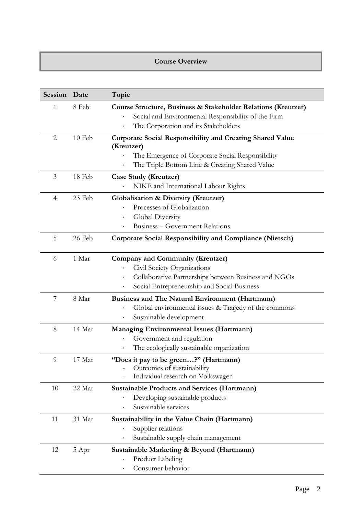## **Course Overview**

| Session        | Date   | Topic                                                                                                                                                                                                                |
|----------------|--------|----------------------------------------------------------------------------------------------------------------------------------------------------------------------------------------------------------------------|
| 1              | 8 Feb  | Course Structure, Business & Stakeholder Relations (Kreutzer)<br>Social and Environmental Responsibility of the Firm<br>The Corporation and its Stakeholders<br>$\bullet$                                            |
| $\overline{2}$ | 10 Feb | <b>Corporate Social Responsibility and Creating Shared Value</b><br>(Kreutzer)<br>The Emergence of Corporate Social Responsibility<br>The Triple Bottom Line & Creating Shared Value                                 |
| 3              | 18 Feb | <b>Case Study (Kreutzer)</b><br>NIKE and International Labour Rights                                                                                                                                                 |
| $\overline{4}$ | 23 Feb | <b>Globalisation &amp; Diversity (Kreutzer)</b><br>Processes of Globalization<br>Global Diversity<br>$\bullet$<br><b>Business – Government Relations</b>                                                             |
| 5              | 26 Feb | <b>Corporate Social Responsibility and Compliance (Nietsch)</b>                                                                                                                                                      |
| 6              | 1 Mar  | <b>Company and Community (Kreutzer)</b><br>Civil Society Organizations<br>$\bullet$<br>Collaborative Partnerships between Business and NGOs<br>$\bullet$<br>Social Entrepreneurship and Social Business<br>$\bullet$ |
| 7              | 8 Mar  | <b>Business and The Natural Environment (Hartmann)</b><br>Global environmental issues & Tragedy of the commons<br>Sustainable development<br>$\bullet$                                                               |
| 8              | 14 Mar | <b>Managing Environmental Issues (Hartmann)</b><br>Government and regulation<br>The ecologically sustainable organization                                                                                            |
| 9              | 17 Mar | "Does it pay to be green?" (Hartmann)<br>Outcomes of sustainability<br>Individual research on Volkswagen                                                                                                             |
| 10             | 22 Mar | <b>Sustainable Products and Services (Hartmann)</b><br>Developing sustainable products<br>Sustainable services<br>$\bullet$                                                                                          |
| 11             | 31 Mar | Sustainability in the Value Chain (Hartmann)<br>Supplier relations<br>Sustainable supply chain management                                                                                                            |
| 12             | 5 Apr  | Sustainable Marketing & Beyond (Hartmann)<br><b>Product Labeling</b><br>Consumer behavior                                                                                                                            |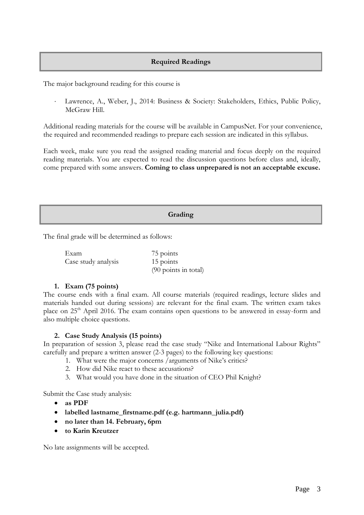# **Required Readings**

The major background reading for this course is

 Lawrence, A., Weber, J., 2014: Business & Society: Stakeholders, Ethics, Public Policy, McGraw Hill.

Additional reading materials for the course will be available in CampusNet. For your convenience, the required and recommended readings to prepare each session are indicated in this syllabus.

Each week, make sure you read the assigned reading material and focus deeply on the required reading materials. You are expected to read the discussion questions before class and, ideally, come prepared with some answers. **Coming to class unprepared is not an acceptable excuse.**

## **Grading**

The final grade will be determined as follows:

Exam 75 points Case study analysis 15 points (90 points in total)

#### **1. Exam (75 points)**

The course ends with a final exam. All course materials (required readings, lecture slides and materials handed out during sessions) are relevant for the final exam. The written exam takes place on 25<sup>th</sup> April 2016. The exam contains open questions to be answered in essay-form and also multiple choice questions.

#### **2. Case Study Analysis (15 points)**

In preparation of session 3, please read the case study "Nike and International Labour Rights" carefully and prepare a written answer (2-3 pages) to the following key questions:

- 1. What were the major concerns /arguments of Nike's critics?
- 2. How did Nike react to these accusations?
- 3. What would you have done in the situation of CEO Phil Knight?

Submit the Case study analysis:

- **as PDF**
- **labelled lastname\_firstname.pdf (e.g. hartmann\_julia.pdf)**
- **no later than 14. February, 6pm**
- **to Karin Kreutzer**

No late assignments will be accepted.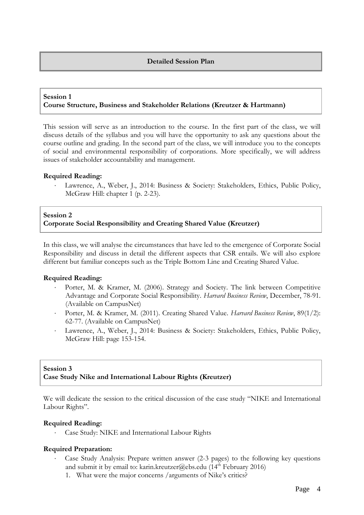#### **Detailed Session Plan**

#### **Session 1 Course Structure, Business and Stakeholder Relations (Kreutzer & Hartmann)**

This session will serve as an introduction to the course. In the first part of the class, we will discuss details of the syllabus and you will have the opportunity to ask any questions about the course outline and grading. In the second part of the class, we will introduce you to the concepts of social and environmental responsibility of corporations. More specifically, we will address issues of stakeholder accountability and management.

#### **Required Reading:**

 Lawrence, A., Weber, J., 2014: Business & Society: Stakeholders, Ethics, Public Policy, McGraw Hill: chapter 1 (p. 2-23).

### **Session 2 Corporate Social Responsibility and Creating Shared Value (Kreutzer)**

In this class, we will analyse the circumstances that have led to the emergence of Corporate Social Responsibility and discuss in detail the different aspects that CSR entails. We will also explore different but familiar concepts such as the Triple Bottom Line and Creating Shared Value.

#### **Required Reading:**

- Porter, M. & Kramer, M. (2006). Strategy and Society. The link between Competitive Advantage and Corporate Social Responsibility. *Harvard Business Review*, December, 78-91. (Available on CampusNet)
- Porter, M. & Kramer, M. (2011). Creating Shared Value. *Harvard Business Review*, 89(1/2): 62-77. (Available on CampusNet)
- Lawrence, A., Weber, J., 2014: Business & Society: Stakeholders, Ethics, Public Policy, McGraw Hill: page 153-154.

#### **Session 3 Case Study Nike and International Labour Rights (Kreutzer)**

We will dedicate the session to the critical discussion of the case study "NIKE and International Labour Rights".

#### **Required Reading:**

Case Study: NIKE and International Labour Rights

#### **Required Preparation:**

- Case Study Analysis: Prepare written answer (2-3 pages) to the following key questions and submit it by email to: [karin.kreutzer@ebs.edu](mailto:karin.kreutzer@ebs.edu) ( $14<sup>th</sup>$  February 2016)
	- 1. What were the major concerns /arguments of Nike's critics?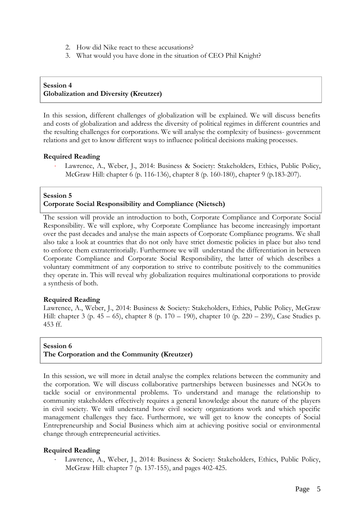- 2. How did Nike react to these accusations?
- 3. What would you have done in the situation of CEO Phil Knight?

# **Session 4 Globalization and Diversity (Kreutzer)**

In this session, different challenges of globalization will be explained. We will discuss benefits and costs of globalization and address the diversity of political regimes in different countries and the resulting challenges for corporations. We will analyse the complexity of business- government relations and get to know different ways to influence political decisions making processes.

# **Required Reading**

 Lawrence, A., Weber, J., 2014: Business & Society: Stakeholders, Ethics, Public Policy, McGraw Hill: chapter 6 (p. 116-136), chapter 8 (p. 160-180), chapter 9 (p.183-207).

#### **Session 5**

# **Corporate Social Responsibility and Compliance (Nietsch)**

The session will provide an introduction to both, Corporate Compliance and Corporate Social Responsibility. We will explore, why Corporate Compliance has become increasingly important over the past decades and analyse the main aspects of Corporate Compliance programs. We shall also take a look at countries that do not only have strict domestic policies in place but also tend to enforce them extraterritorially. Furthermore we will understand the differentiation in between Corporate Compliance and Corporate Social Responsibility, the latter of which describes a voluntary commitment of any corporation to strive to contribute positively to the communities they operate in. This will reveal why globalization requires multinational corporations to provide a synthesis of both.

#### **Required Reading**

Lawrence, A., Weber, J., 2014: Business & Society: Stakeholders, Ethics, Public Policy, McGraw Hill: chapter 3 (p. 45 – 65), chapter 8 (p. 170 – 190), chapter 10 (p. 220 – 239), Case Studies p. 453 ff.

## **Session 6 The Corporation and the Community (Kreutzer)**

In this session, we will more in detail analyse the complex relations between the community and the corporation. We will discuss collaborative partnerships between businesses and NGOs to tackle social or environmental problems. To understand and manage the relationship to community stakeholders effectively requires a general knowledge about the nature of the players in civil society. We will understand how civil society organizations work and which specific management challenges they face. Furthermore, we will get to know the concepts of Social Entrepreneurship and Social Business which aim at achieving positive social or environmental change through entrepreneurial activities.

# **Required Reading**

 Lawrence, A., Weber, J., 2014: Business & Society: Stakeholders, Ethics, Public Policy, McGraw Hill: chapter 7 (p. 137-155), and pages 402-425.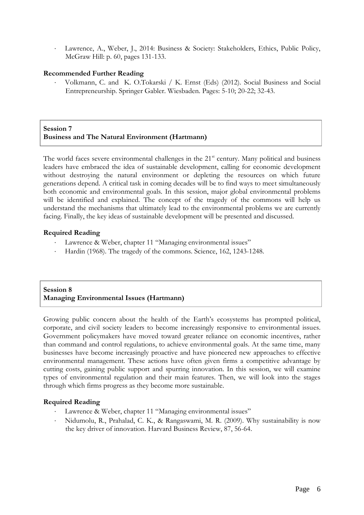Lawrence, A., Weber, J., 2014: Business & Society: Stakeholders, Ethics, Public Policy, McGraw Hill: p. 60, pages 131-133.

### **Recommended Further Reading**

 Volkmann, C. and K. O.Tokarski / K. Ernst (Eds) (2012). Social Business and Social Entrepreneurship. Springer Gabler. Wiesbaden. Pages: 5-10; 20-22; 32-43.

**Session 7 Business and The Natural Environment (Hartmann)**

The world faces severe environmental challenges in the 21<sup>st</sup> century. Many political and business leaders have embraced the idea of sustainable development, calling for economic development without destroying the natural environment or depleting the resources on which future generations depend. A critical task in coming decades will be to find ways to meet simultaneously both economic and environmental goals. In this session, major global environmental problems will be identified and explained. The concept of the tragedy of the commons will help us understand the mechanisms that ultimately lead to the environmental problems we are currently facing. Finally, the key ideas of sustainable development will be presented and discussed.

#### **Required Reading**

- Lawrence & Weber, chapter 11 "Managing environmental issues"
- Hardin (1968). The tragedy of the commons. Science, 162, 1243-1248.

## **Session 8 Managing Environmental Issues (Hartmann)**

Growing public concern about the health of the Earth's ecosystems has prompted political, corporate, and civil society leaders to become increasingly responsive to environmental issues. Government policymakers have moved toward greater reliance on economic incentives, rather than command and control regulations, to achieve environmental goals. At the same time, many businesses have become increasingly proactive and have pioneered new approaches to effective environmental management. These actions have often given firms a competitive advantage by cutting costs, gaining public support and spurring innovation. In this session, we will examine types of environmental regulation and their main features. Then, we will look into the stages through which firms progress as they become more sustainable.

# **Required Reading**

- Lawrence & Weber, chapter 11 "Managing environmental issues"
- Nidumolu, R., Prahalad, C. K., & Rangaswami, M. R. (2009). Why sustainability is now the key driver of innovation. Harvard Business Review, 87, 56-64.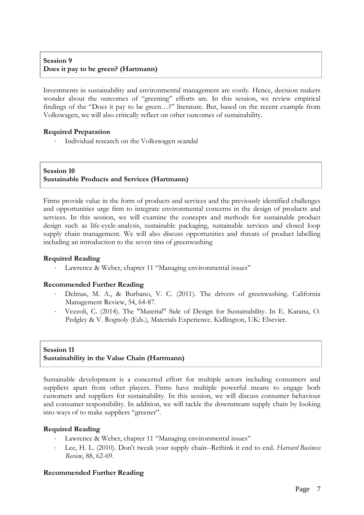# **Session 9 Does it pay to be green? (Hartmann)**

Investments in sustainability and environmental management are costly. Hence, decision makers wonder about the outcomes of "greening" efforts are. In this session, we review empirical findings of the "Does it pay to be green…?" literature. But, based on the recent example from Volkswagen, we will also critically reflect on other outcomes of sustainability.

## **Required Preparation**

Individual research on the Volkswagen scandal

#### **Session 10 Sustainable Products and Services (Hartmann)**

Firms provide value in the form of products and services and the previously identified challenges and opportunities urge firm to integrate environmental concerns in the design of products and services. In this session, we will examine the concepts and methods for sustainable product design such as life-cycle-analysis, sustainable packaging, sustainable services and closed loop supply chain management. We will also discuss opportunities and threats of product labelling including an introduction to the seven sins of greenwashing

#### **Required Reading**

Lawrence & Weber, chapter 11 "Managing environmental issues"

#### **Recommended Further Reading**

- Delmas, M. A., & Burbano, V. C. (2011). The drivers of greenwashing. California Management Review, 54, 64-87.
- Vezzoli, C. (2014). The "Material" Side of Design for Sustainability. In E. Karana, O. Pedgley & V. Rognoly (Eds.), Materials Experience. Kidlington, UK: Elsevier.

## **Session 11 Sustainability in the Value Chain (Hartmann)**

Sustainable development is a concerted effort for multiple actors including consumers and suppliers apart from other players. Firms have multiple powerful means to engage both customers and suppliers for sustainability. In this session, we will discuss consumer behaviour and consumer responsibility. In addition, we will tackle the downstream supply chain by looking into ways of to make suppliers "greener".

#### **Required Reading**

- Lawrence & Weber, chapter 11 "Managing environmental issues"
- Lee, H. L. (2010). Don't tweak your supply chain--Rethink it end to end. *Harvard Business Review*, 88, 62-69.

# **Recommended Further Reading**